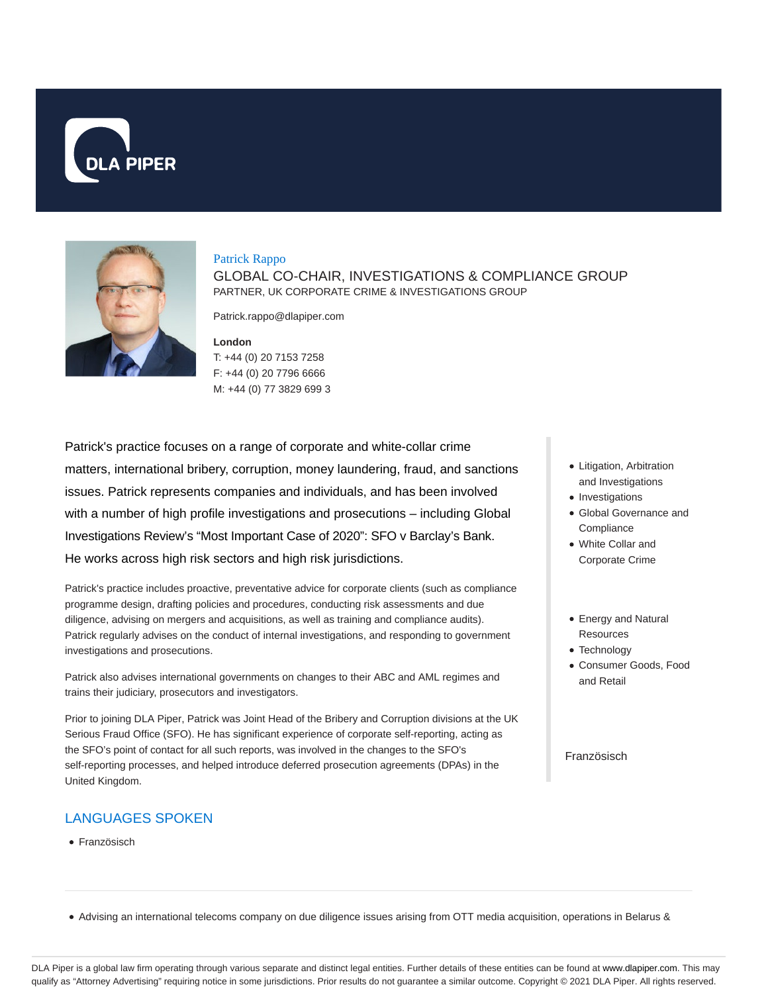



### Patrick Rappo

GLOBAL CO-CHAIR, INVESTIGATIONS & COMPLIANCE GROUP PARTNER, UK CORPORATE CRIME & INVESTIGATIONS GROUP

Patrick.rappo@dlapiper.com

**London** T: +44 (0) 20 7153 7258 F: +44 (0) 20 7796 6666 M: +44 (0) 77 3829 699 3

Patrick's practice focuses on a range of corporate and white-collar crime matters, international bribery, corruption, money laundering, fraud, and sanctions issues. Patrick represents companies and individuals, and has been involved with a number of high profile investigations and prosecutions – including Global Investigations Review's "Most Important Case of 2020": SFO v Barclay's Bank. He works across high risk sectors and high risk jurisdictions.

Patrick's practice includes proactive, preventative advice for corporate clients (such as compliance programme design, drafting policies and procedures, conducting risk assessments and due diligence, advising on mergers and acquisitions, as well as training and compliance audits). Patrick regularly advises on the conduct of internal investigations, and responding to government investigations and prosecutions.

Patrick also advises international governments on changes to their ABC and AML regimes and trains their judiciary, prosecutors and investigators.

Prior to joining DLA Piper, Patrick was Joint Head of the Bribery and Corruption divisions at the UK Serious Fraud Office (SFO). He has significant experience of corporate self-reporting, acting as the SFO's point of contact for all such reports, was involved in the changes to the SFO's self-reporting processes, and helped introduce deferred prosecution agreements (DPAs) in the United Kingdom.

# LANGUAGES SPOKEN

• Französisch

- Litigation, Arbitration and Investigations
- Investigations
- Global Governance and **Compliance**
- White Collar and Corporate Crime
- Energy and Natural **Resources**
- Technology
- Consumer Goods, Food and Retail

### Französisch

Advising an international telecoms company on due diligence issues arising from OTT media acquisition, operations in Belarus &

DLA Piper is a global law firm operating through various separate and distinct legal entities. Further details of these entities can be found at www.dlapiper.com. This may qualify as "Attorney Advertising" requiring notice in some jurisdictions. Prior results do not guarantee a similar outcome. Copyright © 2021 DLA Piper. All rights reserved.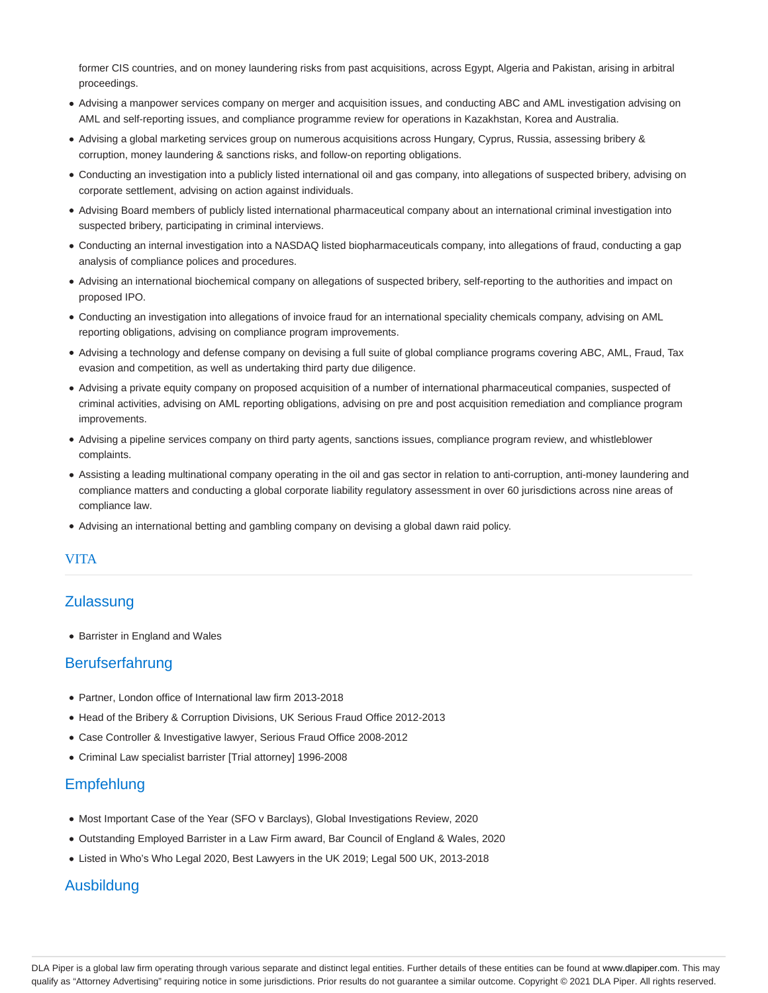former CIS countries, and on money laundering risks from past acquisitions, across Egypt, Algeria and Pakistan, arising in arbitral proceedings.

- Advising a manpower services company on merger and acquisition issues, and conducting ABC and AML investigation advising on AML and self-reporting issues, and compliance programme review for operations in Kazakhstan, Korea and Australia.
- Advising a global marketing services group on numerous acquisitions across Hungary, Cyprus, Russia, assessing bribery & corruption, money laundering & sanctions risks, and follow-on reporting obligations.
- Conducting an investigation into a publicly listed international oil and gas company, into allegations of suspected bribery, advising on corporate settlement, advising on action against individuals.
- Advising Board members of publicly listed international pharmaceutical company about an international criminal investigation into suspected bribery, participating in criminal interviews.
- Conducting an internal investigation into a NASDAQ listed biopharmaceuticals company, into allegations of fraud, conducting a gap analysis of compliance polices and procedures.
- Advising an international biochemical company on allegations of suspected bribery, self-reporting to the authorities and impact on proposed IPO.
- Conducting an investigation into allegations of invoice fraud for an international speciality chemicals company, advising on AML reporting obligations, advising on compliance program improvements.
- Advising a technology and defense company on devising a full suite of global compliance programs covering ABC, AML, Fraud, Tax evasion and competition, as well as undertaking third party due diligence.
- Advising a private equity company on proposed acquisition of a number of international pharmaceutical companies, suspected of criminal activities, advising on AML reporting obligations, advising on pre and post acquisition remediation and compliance program improvements.
- Advising a pipeline services company on third party agents, sanctions issues, compliance program review, and whistleblower complaints.
- Assisting a leading multinational company operating in the oil and gas sector in relation to anti-corruption, anti-money laundering and compliance matters and conducting a global corporate liability regulatory assessment in over 60 jurisdictions across nine areas of compliance law.
- Advising an international betting and gambling company on devising a global dawn raid policy.

# VITA

# **Zulassung**

• Barrister in England and Wales

# **Berufserfahrung**

- Partner, London office of International law firm 2013-2018
- Head of the Bribery & Corruption Divisions, UK Serious Fraud Office 2012-2013
- Case Controller & Investigative lawyer, Serious Fraud Office 2008-2012
- Criminal Law specialist barrister [Trial attorney] 1996-2008

# **Empfehlung**

- Most Important Case of the Year (SFO v Barclays), Global Investigations Review, 2020
- Outstanding Employed Barrister in a Law Firm award, Bar Council of England & Wales, 2020
- Listed in Who's Who Legal 2020, Best Lawyers in the UK 2019; Legal 500 UK, 2013-2018

# Ausbildung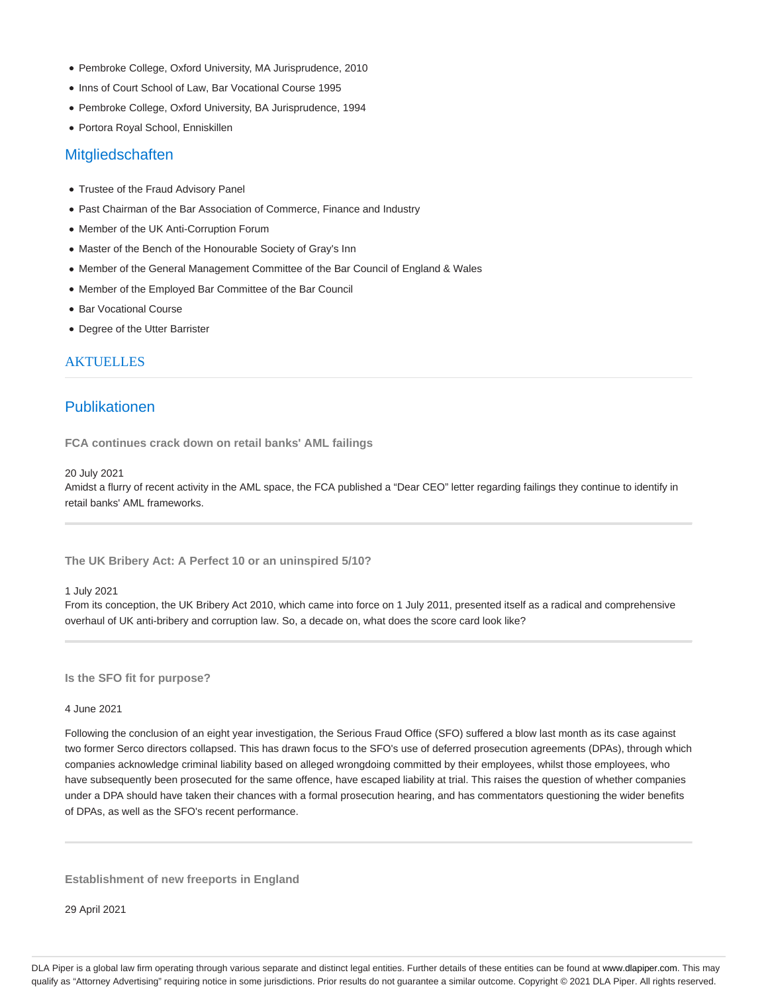- Pembroke College, Oxford University, MA Jurisprudence, 2010
- Inns of Court School of Law, Bar Vocational Course 1995
- Pembroke College, Oxford University, BA Jurisprudence, 1994
- Portora Royal School, Enniskillen

### **Mitgliedschaften**

- Trustee of the Fraud Advisory Panel
- Past Chairman of the Bar Association of Commerce, Finance and Industry
- Member of the UK Anti-Corruption Forum
- Master of the Bench of the Honourable Society of Gray's Inn
- Member of the General Management Committee of the Bar Council of England & Wales
- Member of the Employed Bar Committee of the Bar Council
- Bar Vocational Course
- Degree of the Utter Barrister

## **AKTUELLES**

# Publikationen

**FCA continues crack down on retail banks' AML failings**

#### 20 July 2021

Amidst a flurry of recent activity in the AML space, the FCA published a "Dear CEO" letter regarding failings they continue to identify in retail banks' AML frameworks.

**The UK Bribery Act: A Perfect 10 or an uninspired 5/10?**

#### 1 July 2021

From its conception, the UK Bribery Act 2010, which came into force on 1 July 2011, presented itself as a radical and comprehensive overhaul of UK anti-bribery and corruption law. So, a decade on, what does the score card look like?

**Is the SFO fit for purpose?**

### 4 June 2021

Following the conclusion of an eight year investigation, the Serious Fraud Office (SFO) suffered a blow last month as its case against two former Serco directors collapsed. This has drawn focus to the SFO's use of deferred prosecution agreements (DPAs), through which companies acknowledge criminal liability based on alleged wrongdoing committed by their employees, whilst those employees, who have subsequently been prosecuted for the same offence, have escaped liability at trial. This raises the question of whether companies under a DPA should have taken their chances with a formal prosecution hearing, and has commentators questioning the wider benefits of DPAs, as well as the SFO's recent performance.

**Establishment of new freeports in England**

29 April 2021

DLA Piper is a global law firm operating through various separate and distinct legal entities. Further details of these entities can be found at www.dlapiper.com. This may qualify as "Attorney Advertising" requiring notice in some jurisdictions. Prior results do not guarantee a similar outcome. Copyright @ 2021 DLA Piper. All rights reserved.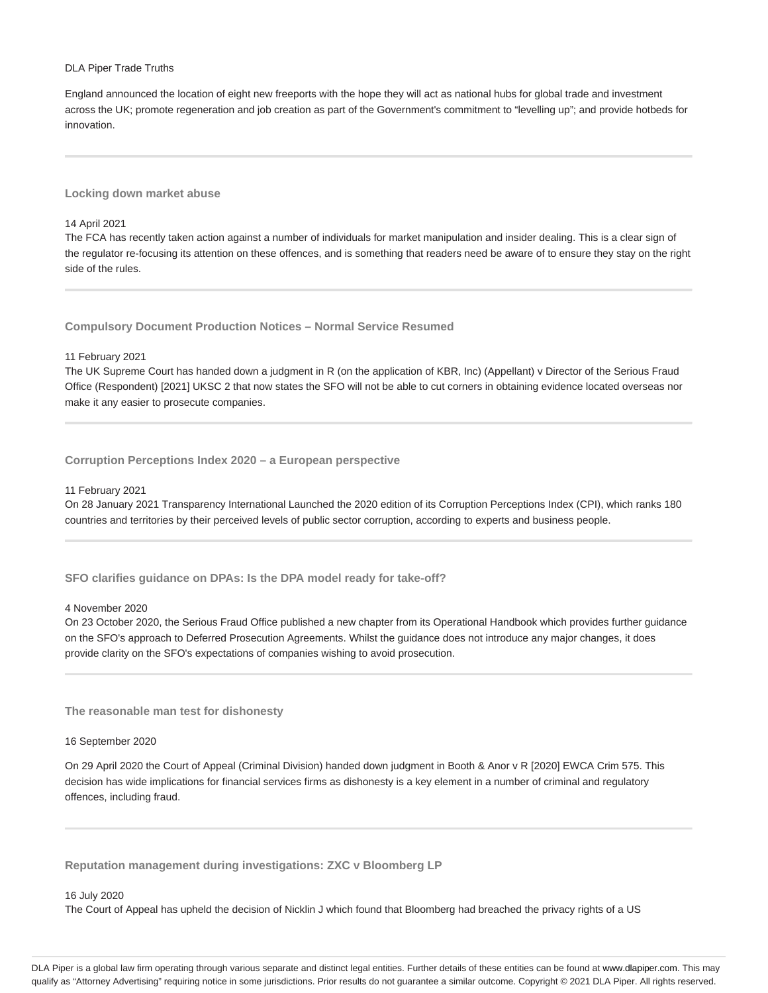### DLA Piper Trade Truths

England announced the location of eight new freeports with the hope they will act as national hubs for global trade and investment across the UK; promote regeneration and job creation as part of the Government's commitment to "levelling up"; and provide hotbeds for innovation.

### **Locking down market abuse**

#### 14 April 2021

The FCA has recently taken action against a number of individuals for market manipulation and insider dealing. This is a clear sign of the regulator re-focusing its attention on these offences, and is something that readers need be aware of to ensure they stay on the right side of the rules.

**Compulsory Document Production Notices – Normal Service Resumed**

### 11 February 2021

The UK Supreme Court has handed down a judgment in R (on the application of KBR, Inc) (Appellant) v Director of the Serious Fraud Office (Respondent) [2021] UKSC 2 that now states the SFO will not be able to cut corners in obtaining evidence located overseas nor make it any easier to prosecute companies.

**Corruption Perceptions Index 2020 – a European perspective**

### 11 February 2021

On 28 January 2021 Transparency International Launched the 2020 edition of its Corruption Perceptions Index (CPI), which ranks 180 countries and territories by their perceived levels of public sector corruption, according to experts and business people.

**SFO clarifies guidance on DPAs: Is the DPA model ready for take-off?**

#### 4 November 2020

On 23 October 2020, the Serious Fraud Office published a new chapter from its Operational Handbook which provides further guidance on the SFO's approach to Deferred Prosecution Agreements. Whilst the guidance does not introduce any major changes, it does provide clarity on the SFO's expectations of companies wishing to avoid prosecution.

**The reasonable man test for dishonesty**

#### 16 September 2020

On 29 April 2020 the Court of Appeal (Criminal Division) handed down judgment in Booth & Anor v R [2020] EWCA Crim 575. This decision has wide implications for financial services firms as dishonesty is a key element in a number of criminal and regulatory offences, including fraud.

**Reputation management during investigations: ZXC v Bloomberg LP**

### 16 July 2020

The Court of Appeal has upheld the decision of Nicklin J which found that Bloomberg had breached the privacy rights of a US

DLA Piper is a global law firm operating through various separate and distinct legal entities. Further details of these entities can be found at www.dlapiper.com. This may qualify as "Attorney Advertising" requiring notice in some jurisdictions. Prior results do not guarantee a similar outcome. Copyright @ 2021 DLA Piper. All rights reserved.